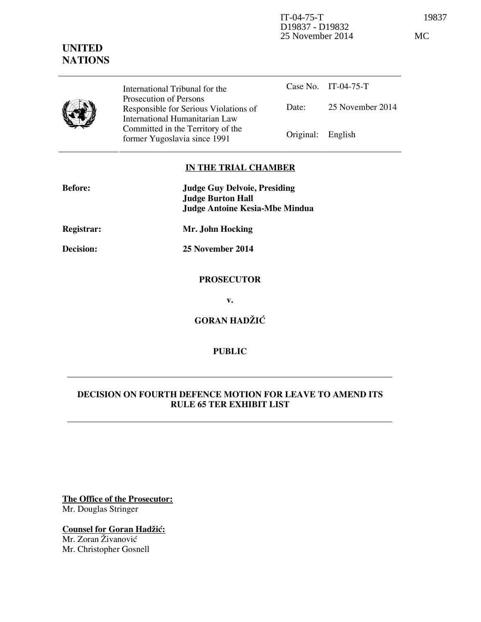D19837 - D19832 25 November 2014 MC

# **UNITED NATIONS**

IT-04-75-T 19837

International Tribunal for the Prosecution of Persons Responsible for Serious Violations of International Humanitarian Law Committed in the Territory of the former Yugoslavia since 1991 **Original:** Engl

|                   | Case No. IT-04-75-T |
|-------------------|---------------------|
| Date:             | 25 November 2014    |
| Original: English |                     |

## **IN THE TRIAL CHAMBER**

| <b>Before:</b>    | <b>Judge Guy Delvoie, Presiding</b><br><b>Judge Burton Hall</b> |
|-------------------|-----------------------------------------------------------------|
|                   | <b>Judge Antoine Kesia-Mbe Mindua</b>                           |
| <b>Registrar:</b> | Mr. John Hocking                                                |
| Decision:         | 25 November 2014                                                |
|                   | <b>PROSECUTOR</b>                                               |
|                   | v.                                                              |
|                   | <b>GORAN HADŽIĆ</b>                                             |

## **PUBLIC**

## **DECISION ON FOURTH DEFENCE MOTION FOR LEAVE TO AMEND ITS RULE 65 TER EXHIBIT LIST**

**The Office of the Prosecutor:** Mr. Douglas Stringer

**Counsel for Goran Hadžić:** Mr. Zoran Živanović Mr. Christopher Gosnell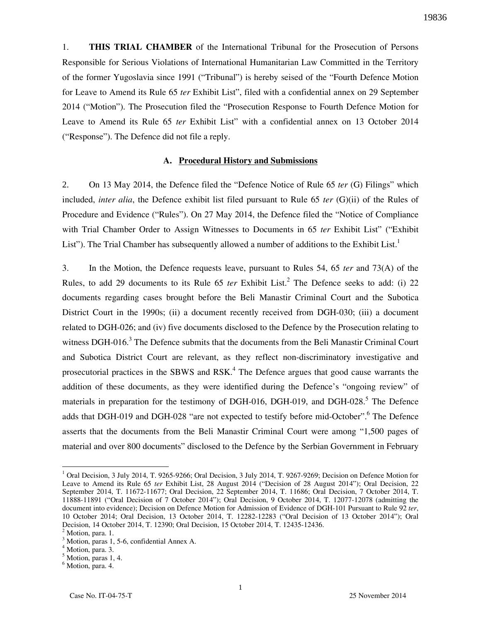1. **THIS TRIAL CHAMBER** of the International Tribunal for the Prosecution of Persons Responsible for Serious Violations of International Humanitarian Law Committed in the Territory of the former Yugoslavia since 1991 ("Tribunal") is hereby seised of the "Fourth Defence Motion for Leave to Amend its Rule 65 *ter* Exhibit List", filed with a confidential annex on 29 September 2014 ("Motion"). The Prosecution filed the "Prosecution Response to Fourth Defence Motion for Leave to Amend its Rule 65 *ter* Exhibit List" with a confidential annex on 13 October 2014 ("Response"). The Defence did not file a reply.

#### **A. Procedural History and Submissions**

2. On 13 May 2014, the Defence filed the "Defence Notice of Rule 65 *ter* (G) Filings" which included, *inter alia*, the Defence exhibit list filed pursuant to Rule 65 *ter* (G)(ii) of the Rules of Procedure and Evidence ("Rules"). On 27 May 2014, the Defence filed the "Notice of Compliance with Trial Chamber Order to Assign Witnesses to Documents in 65 *ter* Exhibit List" ("Exhibit List"). The Trial Chamber has subsequently allowed a number of additions to the Exhibit List.<sup>1</sup>

3. In the Motion, the Defence requests leave, pursuant to Rules 54, 65 *ter* and 73(A) of the Rules, to add 29 documents to its Rule 65 *ter* Exhibit List.<sup>2</sup> The Defence seeks to add: (i) 22 documents regarding cases brought before the Beli Manastir Criminal Court and the Subotica District Court in the 1990s; (ii) a document recently received from DGH-030; (iii) a document related to DGH-026; and (iv) five documents disclosed to the Defence by the Prosecution relating to witness DGH-016.<sup>3</sup> The Defence submits that the documents from the Beli Manastir Criminal Court and Subotica District Court are relevant, as they reflect non-discriminatory investigative and prosecutorial practices in the SBWS and RSK.<sup>4</sup> The Defence argues that good cause warrants the addition of these documents, as they were identified during the Defence's "ongoing review" of materials in preparation for the testimony of DGH-016, DGH-019, and DGH-028.<sup>5</sup> The Defence adds that DGH-019 and DGH-028 "are not expected to testify before mid-October".<sup>6</sup> The Defence asserts that the documents from the Beli Manastir Criminal Court were among "1,500 pages of material and over 800 documents" disclosed to the Defence by the Serbian Government in February

 $\overline{a}$ 

<sup>&</sup>lt;sup>1</sup> Oral Decision, 3 July 2014, T. 9265-9266; Oral Decision, 3 July 2014, T. 9267-9269; Decision on Defence Motion for Leave to Amend its Rule 65 *ter* Exhibit List, 28 August 2014 ("Decision of 28 August 2014"); Oral Decision, 22 September 2014, T. 11672-11677; Oral Decision, 22 September 2014, T. 11686; Oral Decision, 7 October 2014, T. 11888-11891 ("Oral Decision of 7 October 2014"); Oral Decision, 9 October 2014, T. 12077-12078 (admitting the document into evidence); Decision on Defence Motion for Admission of Evidence of DGH-101 Pursuant to Rule 92 *ter*, 10 October 2014; Oral Decision, 13 October 2014, T. 12282-12283 ("Oral Decision of 13 October 2014"); Oral Decision, 14 October 2014, T. 12390; Oral Decision, 15 October 2014, T. 12435-12436. <sup>2</sup> Motion, para. 1.

<sup>3</sup> Motion, paras 1, 5-6, confidential Annex A.

<sup>4</sup> Motion, para. 3.

<sup>5</sup> Motion, paras 1, 4.

<sup>6</sup> Motion, para. 4.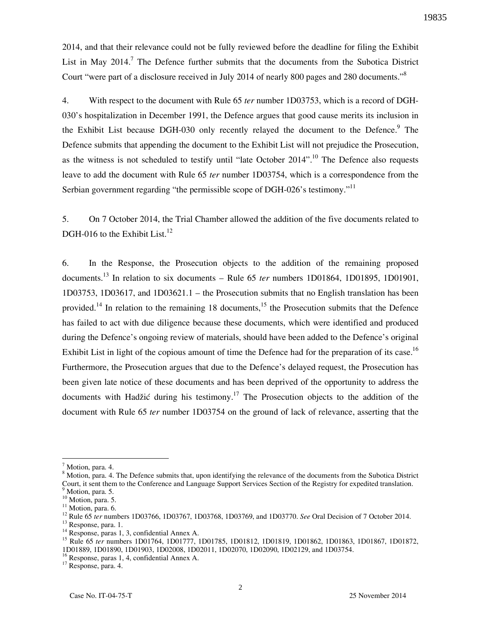2014, and that their relevance could not be fully reviewed before the deadline for filing the Exhibit List in May 2014.<sup>7</sup> The Defence further submits that the documents from the Subotica District Court "were part of a disclosure received in July 2014 of nearly 800 pages and 280 documents."<sup>8</sup>

4. With respect to the document with Rule 65 *ter* number 1D03753, which is a record of DGH-030's hospitalization in December 1991, the Defence argues that good cause merits its inclusion in the Exhibit List because DGH-030 only recently relayed the document to the Defence.<sup>9</sup> The Defence submits that appending the document to the Exhibit List will not prejudice the Prosecution, as the witness is not scheduled to testify until "late October  $2014$ ".<sup>10</sup> The Defence also requests leave to add the document with Rule 65 *ter* number 1D03754, which is a correspondence from the Serbian government regarding "the permissible scope of DGH-026's testimony."<sup>11</sup>

5. On 7 October 2014, the Trial Chamber allowed the addition of the five documents related to DGH-016 to the Exhibit List.<sup>12</sup>

6. In the Response, the Prosecution objects to the addition of the remaining proposed documents.<sup>13</sup> In relation to six documents – Rule 65 *ter* numbers 1D01864, 1D01895, 1D01901, 1D03753, 1D03617, and 1D03621.1 – the Prosecution submits that no English translation has been provided.<sup>14</sup> In relation to the remaining 18 documents,<sup>15</sup> the Prosecution submits that the Defence has failed to act with due diligence because these documents, which were identified and produced during the Defence's ongoing review of materials, should have been added to the Defence's original Exhibit List in light of the copious amount of time the Defence had for the preparation of its case.<sup>16</sup> Furthermore, the Prosecution argues that due to the Defence's delayed request, the Prosecution has been given late notice of these documents and has been deprived of the opportunity to address the documents with Hadžić during his testimony.<sup>17</sup> The Prosecution objects to the addition of the document with Rule 65 *ter* number 1D03754 on the ground of lack of relevance, asserting that the

 $\overline{a}$ 

<sup>17</sup> Response, para. 4.

<sup>&</sup>lt;sup>7</sup> Motion, para. 4.

<sup>&</sup>lt;sup>8</sup> Motion, para. 4. The Defence submits that, upon identifying the relevance of the documents from the Subotica District Court, it sent them to the Conference and Language Support Services Section of the Registry for expedited translation. <sup>9</sup> Motion, para. 5.

<sup>&</sup>lt;sup>10</sup> Motion, para. 5.

 $11$  Motion, para. 6.

<sup>12</sup> Rule 65 *ter* numbers 1D03766, 1D03767, 1D03768, 1D03769, and 1D03770. *See* Oral Decision of 7 October 2014.

<sup>&</sup>lt;sup>13</sup> Response, para. 1.

<sup>&</sup>lt;sup>14</sup> Response, paras 1, 3, confidential Annex A.

<sup>15</sup> Rule 65 *ter* numbers 1D01764, 1D01777, 1D01785, 1D01812, 1D01819, 1D01862, 1D01863, 1D01867, 1D01872, 1D01889, 1D01890, 1D01903, 1D02008, 1D02011, 1D02070, 1D02090, 1D02129, and 1D03754.

<sup>16</sup> Response, paras 1, 4, confidential Annex A.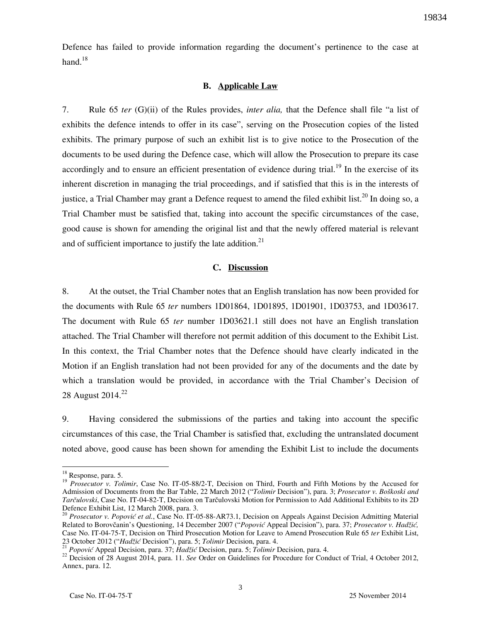Defence has failed to provide information regarding the document's pertinence to the case at hand. $18$ 

#### **B. Applicable Law**

7. Rule 65 *ter* (G)(ii) of the Rules provides, *inter alia,* that the Defence shall file "a list of exhibits the defence intends to offer in its case", serving on the Prosecution copies of the listed exhibits. The primary purpose of such an exhibit list is to give notice to the Prosecution of the documents to be used during the Defence case, which will allow the Prosecution to prepare its case accordingly and to ensure an efficient presentation of evidence during trial.<sup>19</sup> In the exercise of its inherent discretion in managing the trial proceedings, and if satisfied that this is in the interests of justice, a Trial Chamber may grant a Defence request to amend the filed exhibit list.<sup>20</sup> In doing so, a Trial Chamber must be satisfied that, taking into account the specific circumstances of the case, good cause is shown for amending the original list and that the newly offered material is relevant and of sufficient importance to justify the late addition.<sup>21</sup>

### **C. Discussion**

8. At the outset, the Trial Chamber notes that an English translation has now been provided for the documents with Rule 65 *ter* numbers 1D01864, 1D01895, 1D01901, 1D03753, and 1D03617. The document with Rule 65 *ter* number 1D03621.1 still does not have an English translation attached. The Trial Chamber will therefore not permit addition of this document to the Exhibit List. In this context, the Trial Chamber notes that the Defence should have clearly indicated in the Motion if an English translation had not been provided for any of the documents and the date by which a translation would be provided, in accordance with the Trial Chamber's Decision of 28 August 2014. $^{22}$ 

9. Having considered the submissions of the parties and taking into account the specific circumstances of this case, the Trial Chamber is satisfied that, excluding the untranslated document noted above, good cause has been shown for amending the Exhibit List to include the documents

 $\overline{a}$ 

<sup>&</sup>lt;sup>18</sup> Response, para. 5.

<sup>&</sup>lt;sup>19</sup> *Prosecutor v. Tolimir*, Case No. IT-05-88/2-T, Decision on Third, Fourth and Fifth Motions by the Accused for Admission of Documents from the Bar Table, 22 March 2012 ("*Tolimir* Decision"), para. 3; *Prosecutor v. Boškoski and Tarčulovski*, Case No. IT-04-82-T, Decision on Tarčulovski Motion for Permission to Add Additional Exhibits to its 2D Defence Exhibit List, 12 March 2008, para. 3.

<sup>20</sup> *Prosecutor v. Popović et al.*, Case No. IT-05-88-AR73.1, Decision on Appeals Against Decision Admitting Material Related to Borovčanin's Questioning, 14 December 2007 ("Popović Appeal Decision"), para. 37; Prosecutor v. Hadžić, Case No. IT-04-75-T, Decision on Third Prosecution Motion for Leave to Amend Prosecution Rule 65 *ter* Exhibit List, 23 October 2012 ("*Hadži}* Decision"), para. 5; *Tolimir* Decision, para. 4.

<sup>&</sup>lt;sup>21</sup> *Popović* Appeal Decision, para. 37; *Hadžić* Decision, para. 5; *Tolimir* Decision, para. 4.

<sup>22</sup> Decision of 28 August 2014, para. 11. *See* Order on Guidelines for Procedure for Conduct of Trial, 4 October 2012, Annex, para. 12.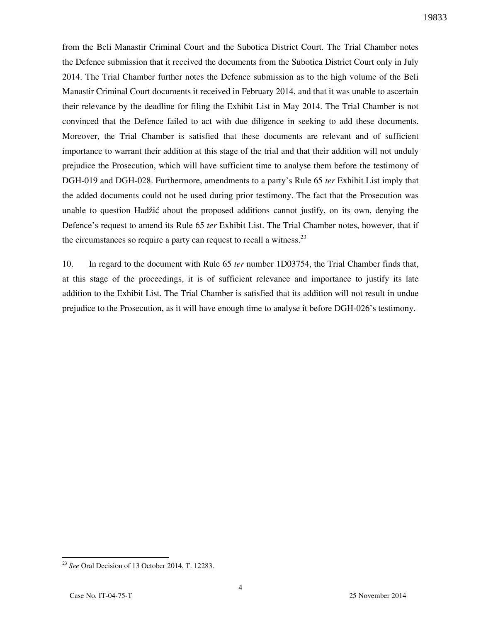from the Beli Manastir Criminal Court and the Subotica District Court. The Trial Chamber notes the Defence submission that it received the documents from the Subotica District Court only in July 2014. The Trial Chamber further notes the Defence submission as to the high volume of the Beli Manastir Criminal Court documents it received in February 2014, and that it was unable to ascertain their relevance by the deadline for filing the Exhibit List in May 2014. The Trial Chamber is not convinced that the Defence failed to act with due diligence in seeking to add these documents. Moreover, the Trial Chamber is satisfied that these documents are relevant and of sufficient importance to warrant their addition at this stage of the trial and that their addition will not unduly prejudice the Prosecution, which will have sufficient time to analyse them before the testimony of DGH-019 and DGH-028. Furthermore, amendments to a party's Rule 65 *ter* Exhibit List imply that the added documents could not be used during prior testimony. The fact that the Prosecution was unable to question Hadžić about the proposed additions cannot justify, on its own, denying the Defence's request to amend its Rule 65 *ter* Exhibit List. The Trial Chamber notes, however, that if the circumstances so require a party can request to recall a witness. $^{23}$ 

10. In regard to the document with Rule 65 *ter* number 1D03754, the Trial Chamber finds that, at this stage of the proceedings, it is of sufficient relevance and importance to justify its late addition to the Exhibit List. The Trial Chamber is satisfied that its addition will not result in undue prejudice to the Prosecution, as it will have enough time to analyse it before DGH-026's testimony.

 $\overline{a}$ <sup>23</sup> *See* Oral Decision of 13 October 2014, T. 12283.